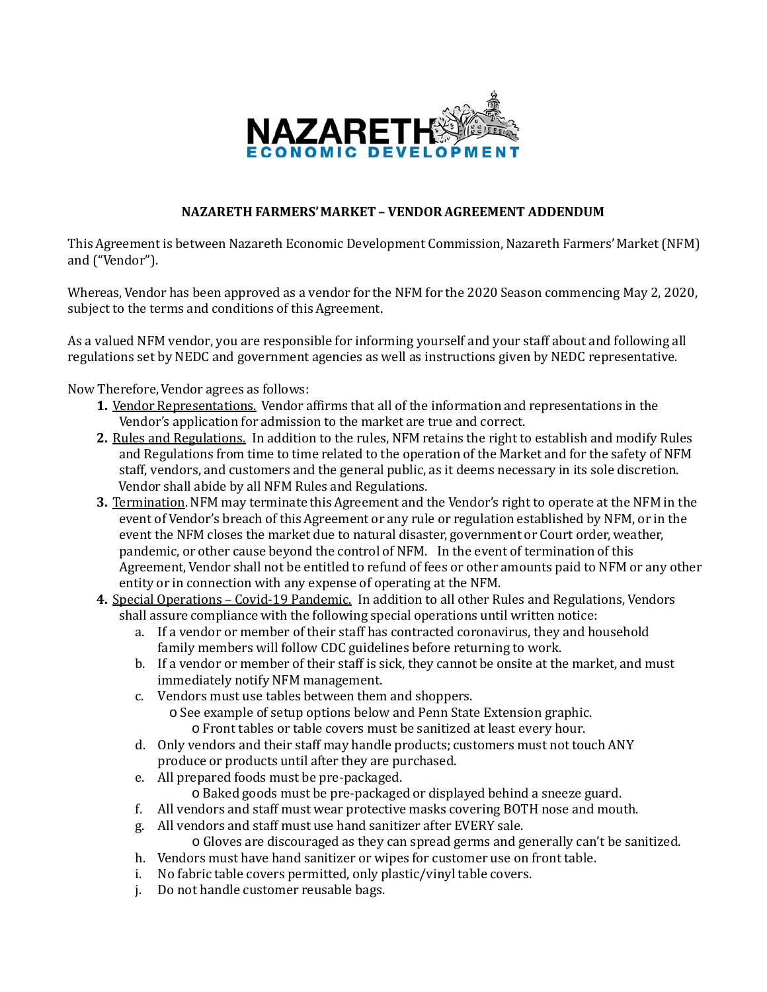

## **NAZARETH FARMERS'MARKET– VENDORAGREEMENT ADDENDUM**

This Agreement is between Nazareth Economic Development Commission, Nazareth Farmers' Market(NFM) and ("Vendor").

Whereas, Vendor has been approved as a vendor for the NFM for the 2020 Season commencing May 2, 2020, subject to the terms and conditions of this Agreement.

As a valued NFM vendor, you are responsible for informing yourself and your staff about and following all regulations set by NEDC and government agencies as well as instructions given by NEDC representative.

Now Therefore, Vendor agrees as follows:

- **1.** Vendor Representations. Vendor affirms that all of the information and representations in the Vendor's application for admission to the market are true and correct.
- **2.** Rules and Regulations. In addition to the rules, NFM retains the right to establish and modify Rules and Regulations from time to time related to the operation of the Market and for the safety of NFM staff, vendors, and customers and the general public, as it deems necessary in its sole discretion. Vendor shall abide by all NFM Rules and Regulations.
- **3.** Termination.NFM may terminate this Agreement and the Vendor's right to operate at the NFM in the event of Vendor's breach of this Agreement or any rule or regulation established by NFM, or in the event the NFM closes the market due to natural disaster, government or Court order, weather, pandemic, or other cause beyond the control of NFM. In the event of termination of this Agreement, Vendor shall not be entitled to refund of fees or other amounts paid to NFM or any other entity or in connection with any expense of operating at the NFM.
- **4.** Special Operations Covid-19 Pandemic. In addition to all other Rules and Regulations, Vendors shall assure compliance with the following special operations until written notice:
	- a. If a vendor or member of their staff has contracted coronavirus, they and household family members will follow CDC guidelines before returning to work.
	- b. If a vendor or member of their staff is sick, they cannot be onsite at the market, and must immediately notify NFM management.
	- c. Vendors must use tables between them and shoppers.
		- o See example of setup options below and Penn State Extension graphic. o Front tables or table covers must be sanitized at least every hour.
	- d. Only vendors and their staff may handle products; customers must not touch ANY produce or products until after they are purchased.
	- e. All prepared foods must be pre-packaged.
		- o Baked goods must be pre-packaged or displayed behind a sneeze guard.
	- f. All vendors and staff must wear protective masks covering BOTH nose and mouth.
	- g. All vendors and staff must use hand sanitizer after EVERY sale.
		- o Gloves are discouraged as they can spread germs and generally can't be sanitized.
	- h. Vendors must have hand sanitizer or wipes for customer use on front table.
	- i. No fabric table covers permitted, only plastic/vinyl table covers.
	- j. Do not handle customer reusable bags.